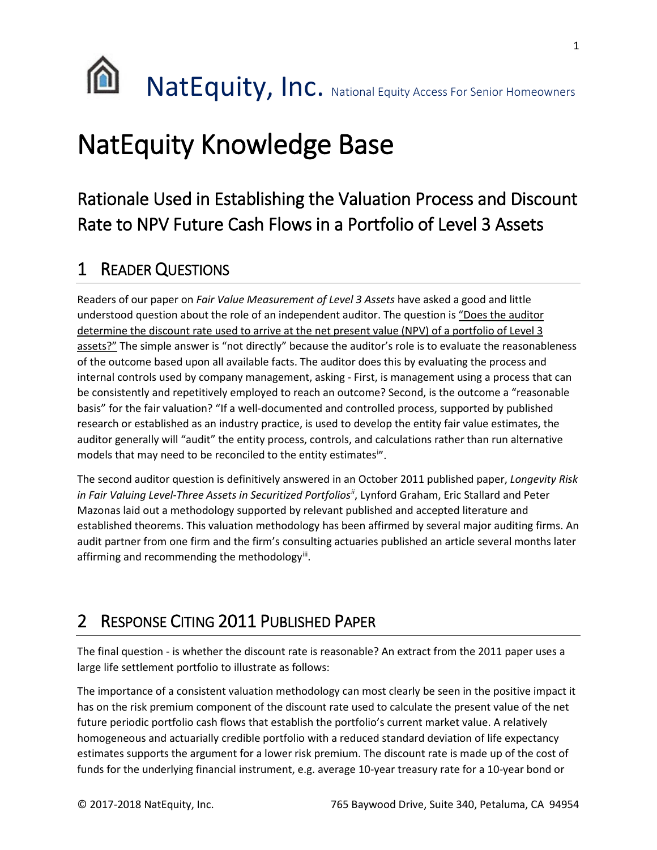

# NatEquity Knowledge Base

# Rationale Used in Establishing the Valuation Process and Discount Rate to NPV Future Cash Flows in a Portfolio of Level 3 Assets

## 1 READER QUESTIONS

Readers of our paper on *Fair Value Measurement of Level 3 Assets* have asked a good and little understood question about the role of an independent auditor. The question is "Does the auditor determine the discount rate used to arrive at the net present value (NPV) of a portfolio of Level 3 assets?" The simple answer is "not directly" because the auditor's role is to evaluate the reasonableness of the outcome based upon all available facts. The auditor does this by evaluating the process and internal controls used by company management, asking - First, is management using a process that can be consistently and repetitively employed to reach an outcome? Second, is the outcome a "reasonable basis" for the fair valuation? "If a well-documented and controlled process, supported by published research or established as an industry practice, is used to develop the entity fair value estimates, the auditor generally will "audit" the entity process, controls, and calculations rather than run alternative models that may need to be reconc[i](#page-4-0)led to the entity estimates<sup>in</sup>.

The second auditor question is definitively answered in an October 2011 published paper, *Longevity Risk in Fair Valuing Level-Three Assets in Securitized Portfolios[ii](#page-4-1)*, Lynford Graham, Eric Stallard and Peter Mazonas laid out a methodology supported by relevant published and accepted literature and established theorems. This valuation methodology has been affirmed by several major auditing firms. An audit partner from one firm and the firm's consulting actuaries published an article several months later affirming and recommending the methodology $\ddot{m}$ .

# 2 RESPONSE CITING 2011 PUBLISHED PAPER

The final question - is whether the discount rate is reasonable? An extract from the 2011 paper uses a large life settlement portfolio to illustrate as follows:

The importance of a consistent valuation methodology can most clearly be seen in the positive impact it has on the risk premium component of the discount rate used to calculate the present value of the net future periodic portfolio cash flows that establish the portfolio's current market value. A relatively homogeneous and actuarially credible portfolio with a reduced standard deviation of life expectancy estimates supports the argument for a lower risk premium. The discount rate is made up of the cost of funds for the underlying financial instrument, e.g. average 10-year treasury rate for a 10-year bond or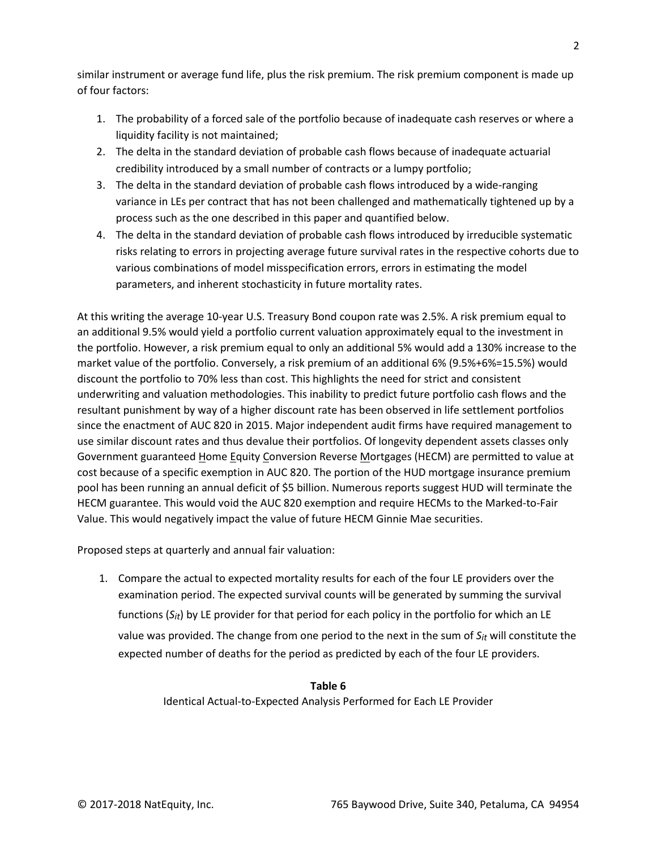similar instrument or average fund life, plus the risk premium. The risk premium component is made up of four factors:

- 1. The probability of a forced sale of the portfolio because of inadequate cash reserves or where a liquidity facility is not maintained;
- 2. The delta in the standard deviation of probable cash flows because of inadequate actuarial credibility introduced by a small number of contracts or a lumpy portfolio;
- 3. The delta in the standard deviation of probable cash flows introduced by a wide-ranging variance in LEs per contract that has not been challenged and mathematically tightened up by a process such as the one described in this paper and quantified below.
- 4. The delta in the standard deviation of probable cash flows introduced by irreducible systematic risks relating to errors in projecting average future survival rates in the respective cohorts due to various combinations of model misspecification errors, errors in estimating the model parameters, and inherent stochasticity in future mortality rates.

At this writing the average 10-year U.S. Treasury Bond coupon rate was 2.5%. A risk premium equal to an additional 9.5% would yield a portfolio current valuation approximately equal to the investment in the portfolio. However, a risk premium equal to only an additional 5% would add a 130% increase to the market value of the portfolio. Conversely, a risk premium of an additional 6% (9.5%+6%=15.5%) would discount the portfolio to 70% less than cost. This highlights the need for strict and consistent underwriting and valuation methodologies. This inability to predict future portfolio cash flows and the resultant punishment by way of a higher discount rate has been observed in life settlement portfolios since the enactment of AUC 820 in 2015. Major independent audit firms have required management to use similar discount rates and thus devalue their portfolios. Of longevity dependent assets classes only Government guaranteed Home Equity Conversion Reverse Mortgages (HECM) are permitted to value at cost because of a specific exemption in AUC 820. The portion of the HUD mortgage insurance premium pool has been running an annual deficit of \$5 billion. Numerous reports suggest HUD will terminate the HECM guarantee. This would void the AUC 820 exemption and require HECMs to the Marked-to-Fair Value. This would negatively impact the value of future HECM Ginnie Mae securities.

Proposed steps at quarterly and annual fair valuation:

1. Compare the actual to expected mortality results for each of the four LE providers over the examination period. The expected survival counts will be generated by summing the survival functions (*Sit*) by LE provider for that period for each policy in the portfolio for which an LE value was provided. The change from one period to the next in the sum of *Sit* will constitute the expected number of deaths for the period as predicted by each of the four LE providers.

#### **Table 6**

Identical Actual-to-Expected Analysis Performed for Each LE Provider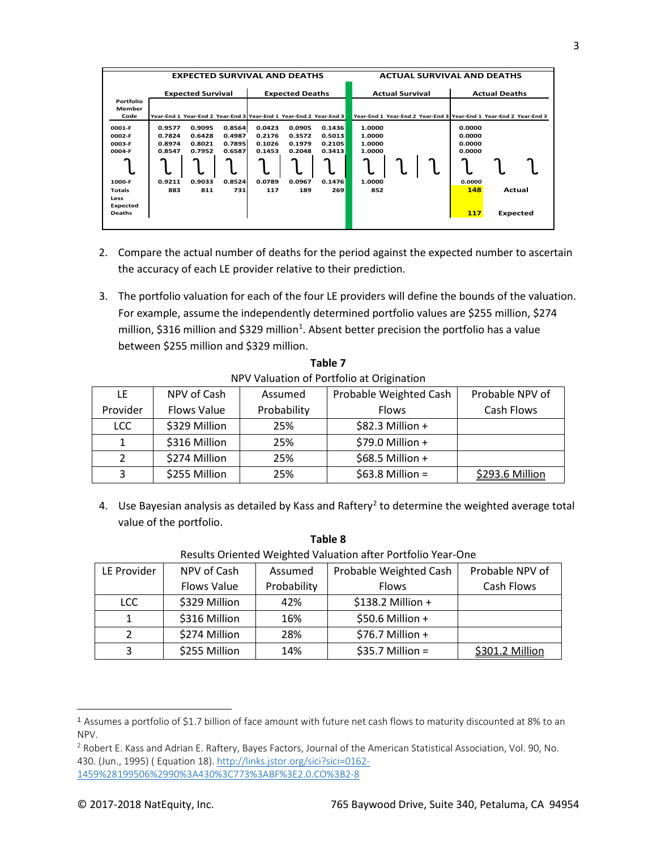|               | <b>EXPECTED SURVIVAL AND DEATHS</b> |        |        |                        |        | <b>ACTUAL SURVIVAL AND DEATHS</b>                                 |                                                                   |  |  |                      |  |                 |
|---------------|-------------------------------------|--------|--------|------------------------|--------|-------------------------------------------------------------------|-------------------------------------------------------------------|--|--|----------------------|--|-----------------|
|               |                                     |        |        |                        |        |                                                                   |                                                                   |  |  |                      |  |                 |
|               | <b>Expected Survival</b>            |        |        | <b>Expected Deaths</b> |        |                                                                   | <b>Actual Survival</b>                                            |  |  | <b>Actual Deaths</b> |  |                 |
| Portfolio     |                                     |        |        |                        |        |                                                                   |                                                                   |  |  |                      |  |                 |
| Member        |                                     |        |        |                        |        |                                                                   |                                                                   |  |  |                      |  |                 |
| Code          |                                     |        |        |                        |        | Year-End 1 Year-End 2 Year-End 3 Year-End 1 Year-End 2 Year-End 3 | Year-End 1 Year-End 2 Year-End 3 Year-End 1 Year-End 2 Year-End 3 |  |  |                      |  |                 |
| 0001-F        | 0.9577                              | 0.9095 | 0.8564 | 0.0423                 | 0.0905 | 0.1436                                                            | 1.0000                                                            |  |  | 0.0000               |  |                 |
| 0002-F        | 0.7824                              | 0.6428 | 0.4987 | 0.2176                 | 0.3572 | 0.5013                                                            | 1.0000                                                            |  |  | 0.0000               |  |                 |
|               |                                     |        |        |                        |        |                                                                   |                                                                   |  |  |                      |  |                 |
| 0003-F        | 0.8974                              | 0.8021 | 0.7895 | 0.1026                 | 0.1979 | 0.2105                                                            | 1.0000                                                            |  |  | 0.0000               |  |                 |
| 0004-F        | 0.8547                              | 0.7952 | 0.6587 | 0.1453                 | 0.2048 | 0.3413                                                            | 1.0000                                                            |  |  | 0.0000               |  |                 |
|               |                                     |        |        |                        |        |                                                                   |                                                                   |  |  |                      |  |                 |
|               |                                     |        |        |                        |        |                                                                   |                                                                   |  |  |                      |  |                 |
|               |                                     |        |        |                        |        |                                                                   |                                                                   |  |  |                      |  |                 |
| 1000-F        | 0.9211                              | 0.9033 | 0.8524 | 0.0789                 | 0.0967 | 0.1476                                                            | 1.0000                                                            |  |  | 0.0000               |  |                 |
| <b>Totals</b> | 883                                 | 811    | 731    | 117                    | 189    | 269                                                               | 852                                                               |  |  | 148                  |  | Actual          |
| Less          |                                     |        |        |                        |        |                                                                   |                                                                   |  |  |                      |  |                 |
| Expected      |                                     |        |        |                        |        |                                                                   |                                                                   |  |  |                      |  |                 |
| <b>Deaths</b> |                                     |        |        |                        |        |                                                                   |                                                                   |  |  | 117                  |  | <b>Expected</b> |
|               |                                     |        |        |                        |        |                                                                   |                                                                   |  |  |                      |  |                 |
|               |                                     |        |        |                        |        |                                                                   |                                                                   |  |  |                      |  |                 |

- 2. Compare the actual number of deaths for the period against the expected number to ascertain the accuracy of each LE provider relative to their prediction.
- 3. The portfolio valuation for each of the four LE providers will define the bounds of the valuation. For example, assume the independently determined portfolio values are \$255 million, \$274 million, \$3[1](#page-2-0)6 million and \$329 million<sup>1</sup>. Absent better precision the portfolio has a value between \$255 million and \$329 million.

| <u>IT FORGULOT OF FORGUIO GEORGINIALION</u> |               |             |                        |                 |  |  |  |
|---------------------------------------------|---------------|-------------|------------------------|-----------------|--|--|--|
| LE                                          | NPV of Cash   | Assumed     | Probable Weighted Cash | Probable NPV of |  |  |  |
| Provider                                    | Flows Value   | Probability | <b>Flows</b>           | Cash Flows      |  |  |  |
| LCC.                                        | \$329 Million | 25%         | $$82.3$ Million +      |                 |  |  |  |
| 1                                           | \$316 Million | 25%         | \$79.0 Million +       |                 |  |  |  |
|                                             | \$274 Million | 25%         | $$68.5$ Million +      |                 |  |  |  |
| 3                                           | \$255 Million | 25%         | $$63.8$ Million =      | \$293.6 Million |  |  |  |

**Table 7** NPV Valuation of Portfolio at Origination

4. Use Bayesian analysis as detailed by Kass and Raftery<sup>[2](#page-2-1)</sup> to determine the weighted average total value of the portfolio.

| Results Oriented Weighted Valuation after Portfolio Year-One |                    |             |                        |                 |  |  |  |  |
|--------------------------------------------------------------|--------------------|-------------|------------------------|-----------------|--|--|--|--|
| LE Provider                                                  | NPV of Cash        | Assumed     | Probable Weighted Cash | Probable NPV of |  |  |  |  |
|                                                              | <b>Flows Value</b> | Probability | <b>Flows</b>           | Cash Flows      |  |  |  |  |
| LCC                                                          | \$329 Million      | 42%         | \$138.2 Million +      |                 |  |  |  |  |
|                                                              | \$316 Million      | 16%         | \$50.6 Million +       |                 |  |  |  |  |
| ר                                                            | \$274 Million      | 28%         | $$76.7$ Million +      |                 |  |  |  |  |
| 3                                                            | \$255 Million      | 14%         | $$35.7$ Million =      | \$301.2 Million |  |  |  |  |

**Table 8**

l

<span id="page-2-0"></span><sup>1</sup> Assumes a portfolio of \$1.7 billion of face amount with future net cash flows to maturity discounted at 8% to an NPV.

<span id="page-2-1"></span><sup>2</sup> Robert E. Kass and Adrian E. Raftery, Bayes Factors, Journal of the American Statistical Association, Vol. 90, No. 430. (Jun., 1995) ( Equation 18)[. http://links.jstor.org/sici?sici=0162-](http://links.jstor.org/sici?sici=0162-1459%28199506%2990%3A430%3C773%3ABF%3E2.0.CO%3B2-8) [1459%28199506%2990%3A430%3C773%3ABF%3E2.0.CO%3B2-8](http://links.jstor.org/sici?sici=0162-1459%28199506%2990%3A430%3C773%3ABF%3E2.0.CO%3B2-8)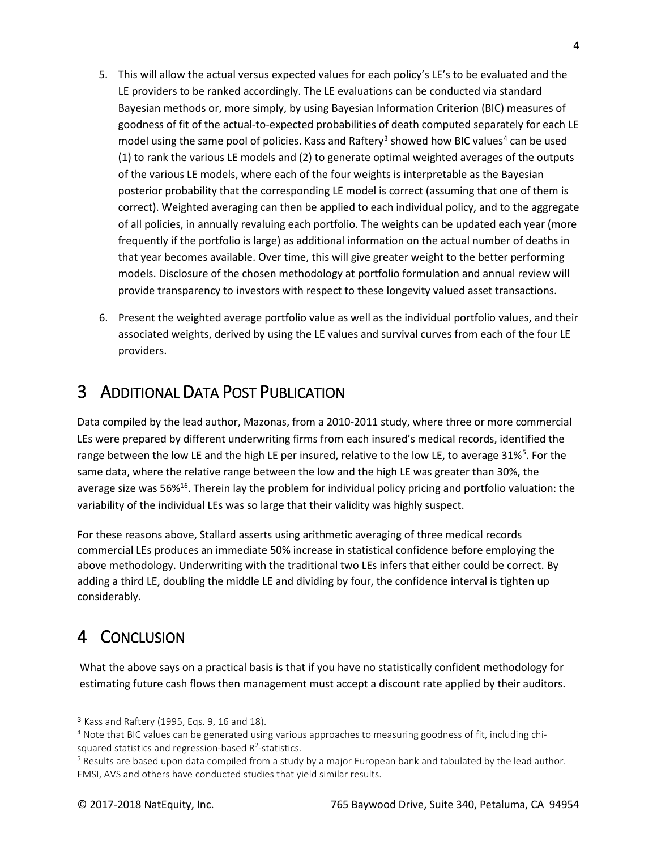- 5. This will allow the actual versus expected values for each policy's LE's to be evaluated and the LE providers to be ranked accordingly. The LE evaluations can be conducted via standard Bayesian methods or, more simply, by using Bayesian Information Criterion (BIC) measures of goodness of fit of the actual-to-expected probabilities of death computed separately for each LE model using the same pool of policies. Kass and Raftery<sup>[3](#page-3-0)</sup> showed how BIC values<sup>4</sup> can be used (1) to rank the various LE models and (2) to generate optimal weighted averages of the outputs of the various LE models, where each of the four weights is interpretable as the Bayesian posterior probability that the corresponding LE model is correct (assuming that one of them is correct). Weighted averaging can then be applied to each individual policy, and to the aggregate of all policies, in annually revaluing each portfolio. The weights can be updated each year (more frequently if the portfolio is large) as additional information on the actual number of deaths in that year becomes available. Over time, this will give greater weight to the better performing models. Disclosure of the chosen methodology at portfolio formulation and annual review will provide transparency to investors with respect to these longevity valued asset transactions.
- 6. Present the weighted average portfolio value as well as the individual portfolio values, and their associated weights, derived by using the LE values and survival curves from each of the four LE providers.

#### 3 ADDITIONAL DATA POST PUBLICATION

Data compiled by the lead author, Mazonas, from a 2010-2011 study, where three or more commercial LEs were prepared by different underwriting firms from each insured's medical records, identified the range between the low LE and the high LE per insured, relative to the low LE, to average 31%<sup>[5](#page-3-2)</sup>. For the same data, where the relative range between the low and the high LE was greater than 30%, the average size was 56%<sup>16</sup>. Therein lay the problem for individual policy pricing and portfolio valuation: the variability of the individual LEs was so large that their validity was highly suspect.

For these reasons above, Stallard asserts using arithmetic averaging of three medical records commercial LEs produces an immediate 50% increase in statistical confidence before employing the above methodology. Underwriting with the traditional two LEs infers that either could be correct. By adding a third LE, doubling the middle LE and dividing by four, the confidence interval is tighten up considerably.

## 4 CONCLUSION

l

What the above says on a practical basis is that if you have no statistically confident methodology for estimating future cash flows then management must accept a discount rate applied by their auditors.

<span id="page-3-0"></span><sup>3</sup> Kass and Raftery (1995, Eqs. 9, 16 and 18).

<span id="page-3-1"></span><sup>4</sup> Note that BIC values can be generated using various approaches to measuring goodness of fit, including chisquared statistics and regression-based  $R^2$ -statistics.

<span id="page-3-2"></span> $5$  Results are based upon data compiled from a study by a major European bank and tabulated by the lead author. EMSI, AVS and others have conducted studies that yield similar results.